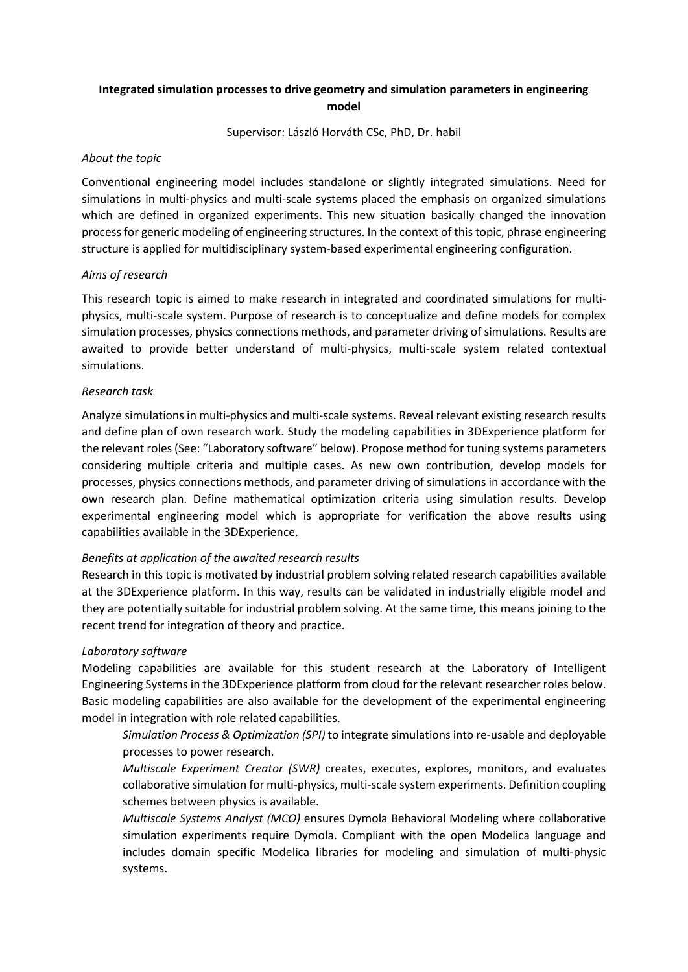# **Integrated simulation processes to drive geometry and simulation parameters in engineering model**

Supervisor: László Horváth CSc, PhD, Dr. habil

### *About the topic*

Conventional engineering model includes standalone or slightly integrated simulations. Need for simulations in multi-physics and multi-scale systems placed the emphasis on organized simulations which are defined in organized experiments. This new situation basically changed the innovation process for generic modeling of engineering structures. In the context of this topic, phrase engineering structure is applied for multidisciplinary system-based experimental engineering configuration.

#### *Aims of research*

This research topic is aimed to make research in integrated and coordinated simulations for multiphysics, multi-scale system. Purpose of research is to conceptualize and define models for complex simulation processes, physics connections methods, and parameter driving of simulations. Results are awaited to provide better understand of multi-physics, multi-scale system related contextual simulations.

#### *Research task*

Analyze simulations in multi-physics and multi-scale systems. Reveal relevant existing research results and define plan of own research work. Study the modeling capabilities in 3DExperience platform for the relevant roles (See: "Laboratory software" below). Propose method for tuning systems parameters considering multiple criteria and multiple cases. As new own contribution, develop models for processes, physics connections methods, and parameter driving of simulations in accordance with the own research plan. Define mathematical optimization criteria using simulation results. Develop experimental engineering model which is appropriate for verification the above results using capabilities available in the 3DExperience.

## *Benefits at application of the awaited research results*

Research in this topic is motivated by industrial problem solving related research capabilities available at the 3DExperience platform. In this way, results can be validated in industrially eligible model and they are potentially suitable for industrial problem solving. At the same time, this means joining to the recent trend for integration of theory and practice.

## *Laboratory software*

Modeling capabilities are available for this student research at the Laboratory of Intelligent Engineering Systems in the 3DExperience platform from cloud for the relevant researcher roles below. Basic modeling capabilities are also available for the development of the experimental engineering model in integration with role related capabilities.

*Simulation Process & Optimization (SPI)* to integrate simulations into re-usable and deployable processes to power research.

*Multiscale Experiment Creator (SWR)* creates, executes, explores, monitors, and evaluates collaborative simulation for multi-physics, multi-scale system experiments. Definition coupling schemes between physics is available.

*Multiscale Systems Analyst (MCO)* ensures Dymola Behavioral Modeling where collaborative simulation experiments require Dymola. Compliant with the open Modelica language and includes domain specific Modelica libraries for modeling and simulation of multi-physic systems.